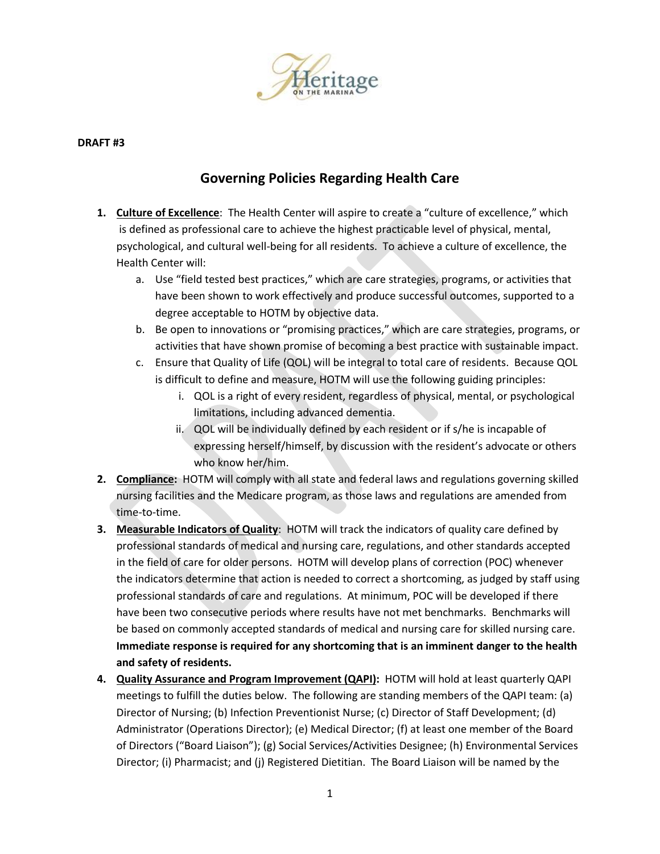

## **DRAFT #3**

## **Governing Policies Regarding Health Care**

- **1. Culture of Excellence**: The Health Center will aspire to create a "culture of excellence," which is defined as professional care to achieve the highest practicable level of physical, mental, psychological, and cultural well-being for all residents. To achieve a culture of excellence, the Health Center will:
	- a. Use "field tested best practices," which are care strategies, programs, or activities that have been shown to work effectively and produce successful outcomes, supported to a degree acceptable to HOTM by objective data.
	- b. Be open to innovations or "promising practices," which are care strategies, programs, or activities that have shown promise of becoming a best practice with sustainable impact.
	- c. Ensure that Quality of Life (QOL) will be integral to total care of residents. Because QOL is difficult to define and measure, HOTM will use the following guiding principles:
		- i. QOL is a right of every resident, regardless of physical, mental, or psychological limitations, including advanced dementia.
		- ii. QOL will be individually defined by each resident or if s/he is incapable of expressing herself/himself, by discussion with the resident's advocate or others who know her/him.
- **2. Compliance:** HOTM will comply with all state and federal laws and regulations governing skilled nursing facilities and the Medicare program, as those laws and regulations are amended from time-to-time.
- **3. Measurable Indicators of Quality**: HOTM will track the indicators of quality care defined by professional standards of medical and nursing care, regulations, and other standards accepted in the field of care for older persons. HOTM will develop plans of correction (POC) whenever the indicators determine that action is needed to correct a shortcoming, as judged by staff using professional standards of care and regulations. At minimum, POC will be developed if there have been two consecutive periods where results have not met benchmarks. Benchmarks will be based on commonly accepted standards of medical and nursing care for skilled nursing care. **Immediate response is required for any shortcoming that is an imminent danger to the health and safety of residents.**
- **4. Quality Assurance and Program Improvement (QAPI):** HOTM will hold at least quarterly QAPI meetings to fulfill the duties below. The following are standing members of the QAPI team: (a) Director of Nursing; (b) Infection Preventionist Nurse; (c) Director of Staff Development; (d) Administrator (Operations Director); (e) Medical Director; (f) at least one member of the Board of Directors ("Board Liaison"); (g) Social Services/Activities Designee; (h) Environmental Services Director; (i) Pharmacist; and (j) Registered Dietitian. The Board Liaison will be named by the